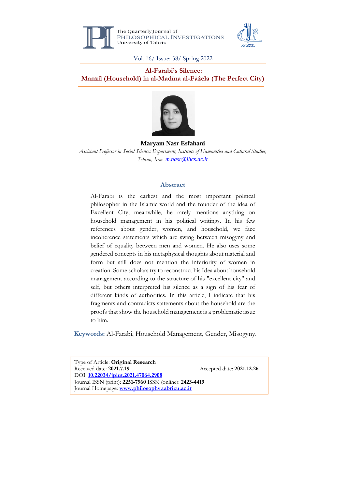

The Ouarterly Journal of PHILOSOPHICAL INVESTIGATIONS **University of Tabriz** 



Vol. 16/ Issue: 38/ Spring 2022

### **Al-Farabi's Silence: Manzil (Household) in al-Madīna al-Fāżela (The Perfect City)**



**Maryam Nasr Esfahani** *Assistant Professor in Social Sciences Department, Institute of Humanities and Cultural Studies, Tehran, Iran. m.nasr@ihcs.ac.ir*

### **Abstract**

Al-Farabi is the earliest and the most important political philosopher in the Islamic world and the founder of the idea of Excellent City; meanwhile, he rarely mentions anything on household management in his political writings. In his few references about gender, women, and household, we face incoherence statements which are swing between misogyny and belief of equality between men and women. He also uses some gendered concepts in his metaphysical thoughts about material and form but still does not mention the inferiority of women in creation. Some scholars try to reconstruct his Idea about household management according to the structure of his "excellent city" and self, but others interpreted his silence as a sign of his fear of different kinds of authorities. In this article, I indicate that his fragments and contradicts statements about the household are the proofs that show the household management is a problematic issue to him.

**Keywords:** Al-Farabi, Household Management, Gender, Misogyny.

Type of Article: **Original Research** Received date: 2021.7.19 Accepted date: 2021.12.26 DOI: **10.22034/jpiut.2021.47064.2908** Journal ISSN (print): **2251-7960** ISSN (online): **2423-4419** Journal Homepage: **[www.philosophy.tabrizu.ac.ir](http://www.philosophy.tabrizu.ac.ir/)**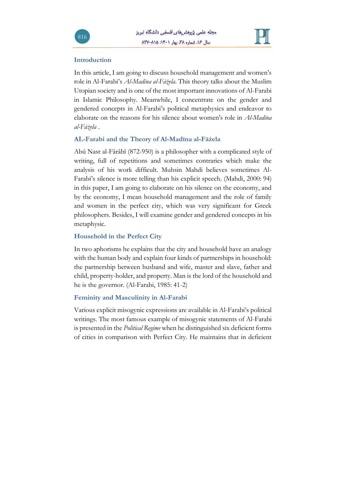

### **Introduction**

In this article, I am going to discuss household management and women's role in Al-Farabi's *Al-Madīna al-Fāżela*. This theory talks about the Muslim Utopian society and is one of the most important innovations of Al-Farabi in Islamic Philosophy. Meanwhile, I concentrate on the gender and gendered concepts in Al-Farabi's political metaphysics and endeavor to elaborate on the reasons for his silence about women's role in *Al-Madīna al-Fāżela* .

### **AL-Farabi and the Theory of Al-Madīna al-Fāżela**

Abû Nasr al-Fârâbî (872-950) is a philosopher with a complicated style of writing, full of repetitions and sometimes contraries which make the analysis of his work difficult. Muhsin Mahdi believes sometimes Al-Farabi's silence is more telling than his explicit speech. (Mahdi, 2000: 94) in this paper, I am going to elaborate on his silence on the economy, and by the economy, I mean household management and the role of family and women in the perfect city, which was very significant for Greek philosophers. Besides, I will examine gender and gendered concepts in his metaphysic.

## **Household in the Perfect City**

In two aphorisms he explains that the city and household have an analogy with the human body and explain four kinds of partnerships in household: the partnership between husband and wife, master and slave, father and child, property-holder, and property. Man is the lord of the household and he is the governor. (Al-Farabi, 1985: 41-2)

## **Feminity and Masculinity in Al-Farabi**

Various explicit misogynic expressions are available in Al-Farabi's political writings. The most famous example of misogynic statements of Al-Farabi is presented in the *Political Regime* when he distinguished six deficient forms of cities in comparison with Perfect City. He maintains that in deficient

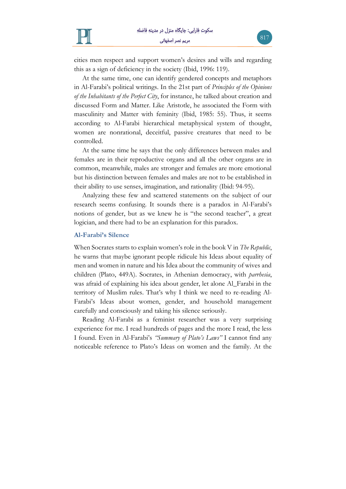



cities men respect and support women's desires and wills and regarding this as a sign of deficiency in the society (Ibid, 1996: 119).

At the same time, one can identify gendered concepts and metaphors in Al-Farabi's political writings. In the 21st part of *Principles of the Opinions of the Inhabitants of the Perfect City*, for instance, he talked about creation and discussed Form and Matter. Like Aristotle, he associated the Form with masculinity and Matter with feminity (Ibid, 1985: 55). Thus, it seems according to Al-Farabi hierarchical metaphysical system of thought, women are nonrational, deceitful, passive creatures that need to be controlled.

At the same time he says that the only differences between males and females are in their reproductive organs and all the other organs are in common, meanwhile, males are stronger and females are more emotional but his distinction between females and males are not to be established in their ability to use senses, imagination, and rationality (Ibid: 94-95).

Analyzing these few and scattered statements on the subject of our research seems confusing. It sounds there is a paradox in Al-Farabi's notions of gender, but as we knew he is "the second teacher", a great logician, and there had to be an explanation for this paradox.

#### **Al-Farabi's Silence**

When Socrates starts to explain women's role in the book V in *The Republic*, he warns that maybe ignorant people ridicule his Ideas about equality of men and women in nature and his Idea about the community of wives and children (Plato, 449A). Socrates, in Athenian democracy, with *parrhesia*, was afraid of explaining his idea about gender, let alone Al\_Farabi in the territory of Muslim rules. That's why I think we need to re-reading Al-Farabi's Ideas about women, gender, and household management carefully and consciously and taking his silence seriously.

Reading Al-Farabi as a feminist researcher was a very surprising experience for me. I read hundreds of pages and the more I read, the less I found. Even in Al-Farabi's *"Summary of Plato's Laws"* I cannot find any noticeable reference to Plato's Ideas on women and the family. At the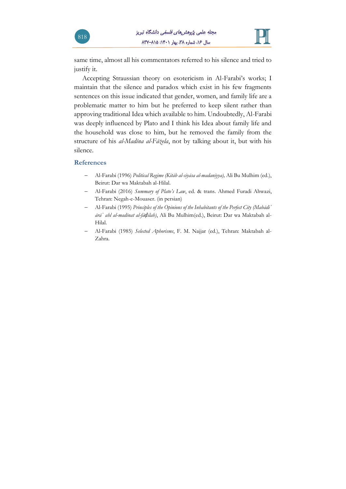

same time, almost all his commentators referred to his silence and tried to justify it.

Accepting Straussian theory on esotericism in Al-Farabi's works; I maintain that the silence and paradox which exist in his few fragments sentences on this issue indicated that gender, women, and family life are a problematic matter to him but he preferred to keep silent rather than approving traditional Idea which available to him. Undoubtedly, Al-Farabi was deeply influenced by Plato and I think his Idea about family life and the household was close to him, but he removed the family from the structure of his *al-Madīna al-Fāżela*, not by talking about it, but with his silence.

#### **References**

- − Al-Farabi (1996) *Political Regime (Kitāb al-siyāsa al-madaniyya),* Ali Bu Mulhim (ed.), Beirut: Dar wa Maktabah al-Hilal.
- − Al-Farabi (2016) *Summary of Plato's Law*, ed. & trans. Ahmed Furadi Ahwazi, Tehran: Negah-e-Mouaser. (in persian)
- − Al-Farabi (1995) *Principles of the Opinions of the Inhabitants of the Perfect City (Mabādiʾ ārāʾ ahl al-madīnat al-fāḍilah)*, Ali Bu Mulhim(ed.), Beirut: Dar wa Maktabah al-Hilal.
- − Al-Farabi (1985) *Selected Aphorisms*, F. M. Najjar (ed.), Tehran: Maktabah al-Zahra.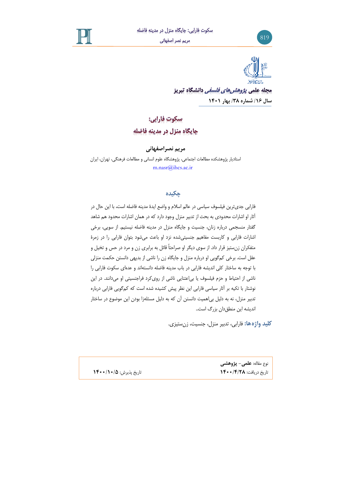





مجله علم*ی پژوهش های فلسفی* دانشگاه تبریز **سال /1۶ شماره /3۸ بهار 1401**

# سكوت فارابي: جايگاه منزل در مدينه فاضله

**مریم نصراصفهانی** 

استادیار پژوهشکده مطالعات اجتماعی، پژوهشگاه علوم انسانی و مطالعات فرهنگی ، تهران، ایران m.nasr@ihcs.ac.ir

## **چکیده**

فارابی جدی ترین فیلسوف سیاسی در عالم اسالم و واضع ایدۀ مدینه فاضله است، با این حال در آثار او اشارات محدودی به بحث از تدبیر منزل وجود دارد که در همان اشارات محدود هم شاهد گفتار منسجمی درباره زنان، جنسیت و جایگاه منزل در مدینه فاضله نیستیم. از سویی، برخی اشارات فارابی و کاربست مفاهیم جنسیتی شده نزد او باعث می شود بتوان فارابی را در زمرۀ متفکران زن ستیز قرار داد. از سوی دیگر او صراحتاً قائل به برابری زن و مرد در حس و تخیل و عقل است. برخی کم گویی او درباره منزل و جایگاه زن را ناشی از بدیهی دانستن حکمت منزلی با توجه به ساختار کلی اندیشه فارابی در باب مدینه فاضله دانسته اند و عده ای سکوت فارابی را ناشی از احتیاط و حزم فیلسوف یا بی اعتنایی ناشی از روی کرد فراجنسیتی او میدانند. در این نوشتار با تکیه بر آثار سیاسی فارابی این نظر پیش کشیده شده است که کم گویی فارابی درباره تدبیر منزل، نه به دلیل بیاهمیت دانستن آن که به دلیل مسئله زا بودن این موضوع در ساختار اندیشه این منطق دان بزرگ است..

**کلید واژهها:** فارابی، تدبیر منزل، جنسیت، زن ستیزی.

تاریخ دریافت: **/4/2۸ 1400** تاریخ پذیرش: **/10/5 1400**

نوع مقاله: **علمی - پژوهشی**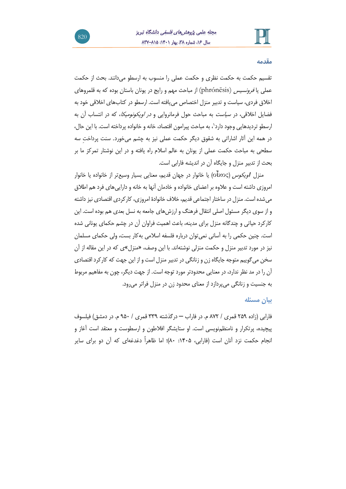

#### **مقدمه**

تقسیم حکمت به حکمت نظری و حکمت عملی را منسوب به ارسطو میدانند. بحث از حکمت عملی یا *فرونسیس* (phrónēsis) از مباحث مهم و رایج در یونان باستان بوده که به قلمروهای اخالق فردی، سیاست و تدبیر منزل اختصاص مییافته است. ارسطو در کتابهای اخالقی خود به فضایل اخالقی، در سیاست به مباحث حول فرمانروایی و در اویکونومیکا، که در انتساب آن به ارسطو تردیدهایی وجود دارد٬، به مباحث پیرامون اقتصاد، خانه و خانواده پرداخته است. با این حال، در همه این آثار اشاراتی به شقوق دیگر حکمت عملی نیز به چشم میخورد. سنت پرداختِ سه سطحی به مباحث حکمت عملی از یونان به عالم اسالم راه یافته و در این نوشتار تمرکز ما بر بحث از تدبیر منزل و جایگاه آن در اندیشه فارابی است.

منزل *اویکوس* (οἶκος) یا خانوار در جهان قدیم، معنایی بسیار وسیعتر از خانواده یا خانوار امروزی داشته است و عالوه بر اعضای خانواده و خادمان آنها به خانه و داراییهای فرد هم اطالق میشده است. منزل در ساختار اجتماعی قدیم، خالف خانوادۀ امروزی، کارکردی اقتصادی نیز داشته و از سوی دیگر مسئول اصلی انتقال فرهنگ و ارزش های جامعه به نسل بعدی هم بوده است. این کارکرد حیاتی و چندگانه منزل برای مدینه، باعث اهمیت فراوان آن در چشم حکمای یونانی شده است. چنین حکمی را به آسانی نمیتوان درباره فلسفه اسالمی بهکار بست، ولی حکمای مسلمان نیز در مورد تدبیر منزل و حکمت منزلی نوشتهاند. با این وصف، »منزل«ی که در این مقاله از آن سخن میگوییم متوجه جایگاه زن و زنانگی در تدبیر منزل است و از این جهت که کارکرد اقتصادی آن را در مد نظر ندارد، در معنایی محدودتر مورد توجه است. از جهت دیگر، چون به مفاهیم مربو ط به جنسیت و زنانگی میپردازد از معنای محدود زن در منزل فراتر میرود.

### **بیان مسئله**

فارابی )زاده ۲۵۹ قمری / ۸۷۲ م. در فاراب – درگذشته ۳۳۹ قمری / ۹۵۰ م. در دمشق( فیلسوف پیچیده، پرتکرار و نامنظمنویسی است. او ستایشگر افالطون و ارسطوست و معتقد است آغاز و انجام حکمت نزد آنان است (فارابی، ۱۴۰۵: ۸۰)؛ اما ظاهراً دغدغهای که آن دو برای سایر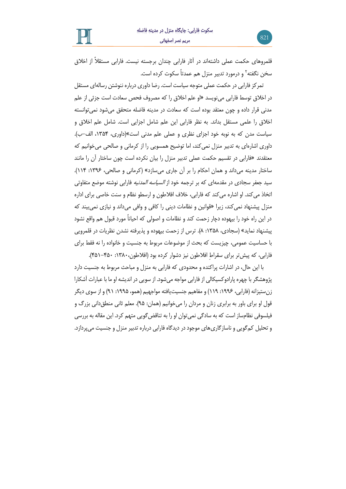قلمروهای حکمت عملی داشتهاند در آثار فارابی چندان برجسته نیست. فارابی مستقالً از اخالق سخن نگفته<sup>۲</sup> و درمورد تدبیر منزل هم عمدتاً سکوت کرده است.

تمرکز فارابی در حکمت عملی متوجه سیاست است. رضا داوری درباره ننوشتن رسالهای مستقل در اخالق توسط فارابی مینویسد »او علم اخالق را که مصروف فحص سعادت است جزئی از علم مدنی قرار داده و چون معتقد بوده است که سعادت در مدینه فاضله متحقق میشود نمیتوانسته اخالق را علمی مستقل بداند. به نظر فارابی این علم شامل اجزایی است. شامل علم اخالق و سیاست مدن که به نوبه خود اجزای نظری و عملی علم مدنی است«)داوری، ،1۳۵4 الف-ب(. داوری اشارهای به تدبیر منزل نمیکند، اما توضیح همسویی را از کرمانی و صالحی میخوانیم که معتقدند »فارابی در تقسیم حکمت عملی تدبیر منزل را بیان نکرده است چون ساختار آن را مانند ساختار مدینه میداند و همان احکام را بر آن جاری میسازد« )کرمانی و صالحی، :1۳۹6 114(. سید جعفر سجادی در مقدمهای که بر ترجمه خود از *السیاسه المدنیه* فارابی نوشته موضع متفاوتی اتخاذ میکند. او اشاره می کند که فارابی، خالف افالطون و ارسطو نظام و سنت خاصی برای اداره منزل پیشنهاد نمیکند، زیرا »قوانین و نظامات دینی را کافی و وافی میداند و نیازی نمیبیند که در این راه خود را بیهوده دچار زحمت کند و نظامات و اصولی که احیاناً مورد قبول هم واقع نشود پیشنهاد نماید« )سجادی، :1۳۵۸ ۸(. ترس از زحمت بیهوده و پذیرفته نشدن نظریات در قلمرویی با حساسیت عمومی، چیزیست که بحث از موضوعات مربوط به جنسیت و خانواده را نه فقط برای فارابی، که پیشتر برای سقراطِ افالطون نیز دشوار کرده بود )افالطون:1۳۸۰، -4۵۰ 4۵1(.

با این حال، در اشارات پراکنده و محدودی که فارابی به منزل و مباحث مربوط به جنسیت دارد پژوهشگر با چهره پارادوکسیکالی از فارابی مواجه میشود. از سویی در اندیشه او ما با عبارات آشکارا زن ستیزانه (فارابی، ۱۹۹۶: ۱۱۹) و مفاهیم جنسیت یافته مواجهیم (همو، ۱۹۹۵: ۹۱) و از سوی دیگر قول او برای باور به برابری زنان و مردان را میخوانیم (همان: ۹۵). معلم ثانی منطق(انی بزرگ و فیلسوفی نظامساز است که به سادگی نمیتوان او را به تناقضگویی متهم کرد. این مقاله به بررسی و تحلیل کمگویی و ناسازگاریهای موجود در دیدگاه فارابی درباره تدبیر منزل و جنسیت میپردازد.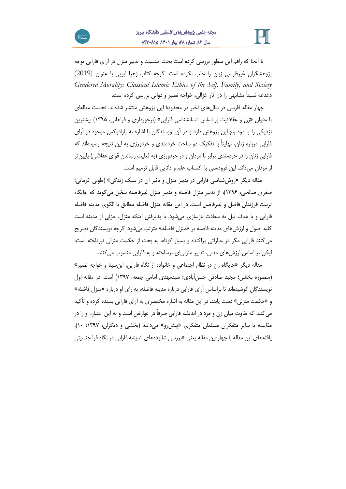

تا آنجا که راقم این سطور بررسی کرده است بحث جنسیت و تدبیر منزل در آرای فارابی توجه پژوهشگران غیرفارسی زبان را جلب نکرده است، گرچه کتاب زهرا ایوبی با عنوان (2019) *Gendered Morality: Classical Islamic Ethics of the Self, Family, and Society* دغدغه نسبتاً مشابهی را در آثار غزالی، خواجه نصیر و دوانی بررسی کرده است.

چهار مقاله فارسی در سالهای اخیر در محدودۀ این پژوهش منتشر شدهاند. نخست مقالهای با عنوان »زن و عقالنیت بر اساس انسانشناسی فارابی« )برخورداری و فراهانی، 1۳۹۵( بیشترین نزدیکی را با موضوع این پژوهش دارد و در آن نویسندگان با اشاره به پارادوکس موجود در آرای فارابی درباره زنان، نهایتاً با تفکیک دو ساحت خردمندی و خردورزی به این نتیجه رسیدهاند که فارابی زنان را در خردمندی برابر با مردان و در خردورزی (به فعلیت رساندن قوای عقلانی) پایین تر از مردان میداند. این فرودستی با اکتساب علم و دانایی قابل ترمیم است.

مقاله دیگر »روش شناسی فارابی در تدبیر منزل و تاثیر آن در سبک زندگی« )طوبی کرمانی؛ صغری صالحی، 1۳۹6(، از تدبیر منزل فاضله و تدبیر منزل غیرفاضله سخن میگوید که جایگاه تربیت فرزندان فاضل و غیرفاضل است. در این مقاله منزل فاضله مطابق با الگوی مدینه فاضله فارابی و با هدف نیل به سعادت بازساز ی میشود. با پذیرفتن اینکه منزل، جزئی از مدینه است کلیه اصول و ارزش های مدینه فاضله بر » منزل فاضله« مترتب میشود. گرچه نویسندگان تصریح میکنند فارابی مگر در عباراتی پراکنده و بسیار کوتاه، به بحث از حکمت منزلی نپرداخته است ؛ لیکن بر اساس ارزش های مدنی ، تدبیر منزلیای برساخته و به فارابی منسوب میکنند.

مقاله دیگر »جایگاه زن در نظام اجتماعی و خانواده از نگاه فارابی، ابنسینا و خواجه نصیر« )منصوره بخشی؛ مجید صادقی حسنآبادی؛ سیدمهدی امامی جمعه، 1۳۹۷( است. در مقاله اول نویسندگان کوشیده اند تا براساس آرای فارابی درباره مدینه فاضله، به رای او درباره »منزل فاضله« و »حکمت منزلی« دست یابند. در این مقاله به اشاره مختصری به آرای فارابی بسنده کرده و تأکید میکنند که تفاوت میان زن و مرد در اندیشه فارابی صرفاً در عوارض است و به این اعتبار، او را در مقایسه با سایر متفکران مسلمان متفکری «پیشررو» می دانند (بخشی و دیگران، ١٣٩٧: ١٠). یافتههای این مقاله با چهارمین مقاله یعنی »بررسی شالودههای اندیشه فارابی در نگاه فرا جنسیتی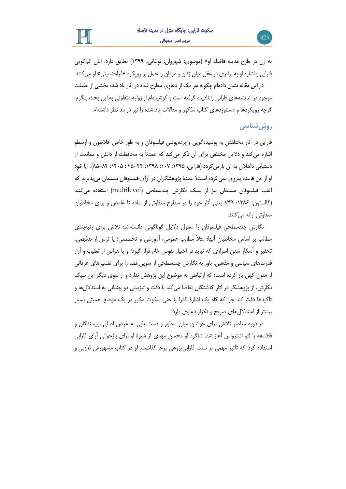به زن در طرح مدینه فاضله او« )موسوی؛ شهروان؛ نوغانی، 1۳۹۹( تطابق دارد. آنان کم گویی فارابی و اشاره او به برابری در عقل میان زنان و مردان را حمل بر رویکرد »فراجنسیتی« او می کنند.

در این مقاله نشان دادهام چگونه هر یک از دعاوی مطرح شده در آثار یاد شده بخشی از حقیقت موجود در اندیشه های فارابی را نادیده گرفته است و کوشیدهام از زوایه متفاوتی به این بحث بنگرم، گرچه رویکردها و دستاوردهای کتاب مذکور و مقاالت یاد شده را نیز در مد نظر داشته ام.

# **روششناسی**

فارابی در آثار مختلفش به پوشیده گویی و پرده پوشی فیلسوفان و به طور خاص افالطون و ارسطو اشاره میکند و دالیل مختلفی برای آن ذکر میکند که عمدتاً به محافظت از دانش و ممانعت از دستیابی نااهلان به آن بازمی گردد (فارابی، ۱۳۹۵: ۱۰۷؛ ۱۳۹۸-۴۵-۴۵ ؛ ۰۴۵–۸۵). آیا خود او از این قاعده پیروی نمیکرده است؟ عمدۀ پژوهشگران در آرای فیلسوفان مسلمان میپذیرند که اغلب فیلسوفان مسلمان نیز از سبک نگارش چندسطحی ) multilevel )استفاده می کنند )گالستون، :1۳۸6 4۹(؛ یعنی آثار خود را در سطوح متفاوتی از ساده تا غامض و برای مخاطبان متفاوتی ارائه می کنند.

نگارش چندسطحی فیلسوفان را معلول دالیل گوناگونی دانسته اند: تالش برای رتبهبندی مطالب بر اساس مخاطبان آنها: مثالً مطالب عمومی، آموزشی و تخصصی ؛ یا ترس از بدفهمی، تحقیر و آشکار شدن اسراری که نباید در اختیار نفوس خام قرار گیرد؛ و یا هراس از تعقیب و آزار قدرتهای سیاسی و مذهبی. باور به نگارش چندسطحی از سویی فضا را برای تفسیرهای عرفانی از متون کهن باز کرده است؛ که ارتباطی به موضوع این پژوهش ندارد و از سوی دیگر این سبک نگارش، از پژوهشگر در آثار گذشتگان تقاضا میکند با دقت و تیزبینی دو چندانی به استداللها و تأکیدها دقت کند چرا که گاه یک اشارۀ گذرا یا حتی سکوت مکرر در یک موضع اهمیتی بسیار بیشتر از استدال لهای صریح و تکرار دعاوی دارد.

در دوره معاصر تالش برای خواندن میان سطور و دست یابی به غرض اصلی نویسندگان و فالسفه با لئو اشترواس آغاز شد. شاگرد او محسن مهدی از شیوۀ او برای بازخوانی آرای فارابی استفاده کرد که تأثیر مهمی بر سنت فارابی پژوهی برجا گذاشت. او در کتاب مشهورش *فارابی و*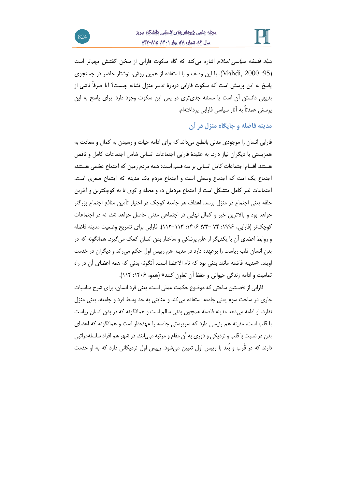

*بنیاد فلسفه سیاسی اسلام* اشاره می *ک*ند که گاه سکوت فارابی از سخن گفتنش مهمتر است ):95 2000 ,Mahdi). با این وصف و با استفاده از همین روش، نوشتار حاضر در جستجوی پاسخ به این پرسش است که سکوت فارابی دربارۀ تدبیر منزل نشانه چیست؟ آیا صرفاً ناشی از بدیهی دانستن آن است یا مسئله جدیتری در پس این سکوت وجود دارد. برای پاسخ به این پرسش عمدتاً به آثار سیاسی فارابی پرداختهام.

## **مدینه فاضله و جایگاه منزل در آن**

فارابی انسان را موجودی مدنی بالطبع میداند که برای ادامه حیات و رسیدن به کمال و سعادت به همزیستی با دیگران نیاز دارد. به عقیدۀ فارابی اجتماعات انسانی شامل اجتماعات کامل و ناقص هستند. اقسام اجتماعات کامل انسانی بر سه قسم است: همه مردم زمین که اجتماع عظمی هستند، اجتماع یک امت که اجتماع وسطی است و اجتماع مردم یک مدینه که اجتماع صغری است. اجتماعات غیر کامل متشکل است از اجتماع مردمان ده و محله و کوی تا به کوچکترین و آخرین حلقه یعنی اجتماع در منزل برسد. اهداف هر جامعه کوچک در اختیار تأمین منافع اجتماع بزرگتر خواهد بود و باالترین خیر و کمال نهایی در اجتماعی مدنی حاصل خواهد شد، نه در اجتماعات کوچکتر )فارابی ، :1۹۹6 ۷4 ۷۳-؛ :14۰6 11۲-11۳(. فارابی برای تشریح وضعیت مدینه فاضله و روابط اعضای آن با یکدیگر از علم پزشکی و ساختار بدن انسان کمک میگیرد. همانگونه که در بدن انسان قلب ریاست را برعهده دارد در مدینه هم رییس اول حکم میراند و دیگران در خدمت اویند. »مدینه فاضله مانند بدنی بود که تام االعضا است. آنگونه بدنی که همه اعضای آن در راه تمامیت و ادامه زندگی حیوانی و حفظ آن تعاون کنند« ) همو، :14۰6 114(.

فارابی از نخستین ساحتی که موضوع حکمت عملی است، یعنی فرد انسان، برای شرح مناسبات جاری در ساحت سوم یعنی جامعه استفاده میکند و عنایتی به حد وسط فرد و جامعه، یعنی منزل ندارد. او ادامه می دهد مدینه فاضله همچون بدنی سالم است و همانگونه که در بدن انسان ریاست با قلب است، مدینه هم رئیسی دارد که سرپرستی جامعه را عهده دار است و همانگونه که اعضای بدن در نسبت با قلب و نزدیکی و دوری به آن مقام و مرتبه مییابند، در شهر هم افراد سلسلهمراتبی دارند که در قُرب و بُعد با رییس اول تعیین میشود. رییس اول نزدیکانی دارد که به او خدمت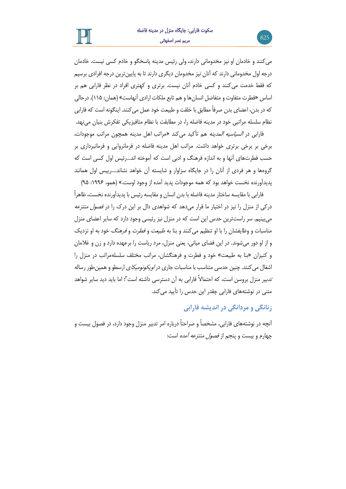

میکنند و خادمان او نیز مخدومانی دارند، ولی رئیس مدینه پاسخگو و خادم کسی نیست. خادمان درجه اول مخدومانی دارند که آنان نیز مخدومان دیگری دارند تا به پایینترین درجه افرادی برسیم که فقط خدمت میکنند و کسی خادم آنان نیست. برتری و کهتری افراد در نظر فارابی هم بر اساس »فطرت متفاوت و متفاضل انسانها و هم تابع ملکات ارادی آنهاست« )همان : 11۵(. درحالی که در بدن، اعضای بدن صرفاً مطابق با خلقت و طبیعت خود عمل میکنند. اینگونه است که فارابی نظام سلسله مراتبی خود در مدینه فاضله را، در مطابقت با نظام متافیزیکی تفکرش بنیان مینهد.

فارابی در السیاسیه المدینه هم تأکید میکند »مراتب اهل مدینه همچون مراتب موجودات، برخی بر برخی برتری خواهد داشت. مراتب اهل مدینه فاضله در فرمانروایی و فرمانبرداری بر حسب فطرتهای آنها و به اندازه فرهنگ و ادبی است که آموخته اند...رئیس اول کسی است که گروهها و هر فردی از آنان را در جایگاه سزاوار و شایسته آن خواهد نشاند....رییس اول همانند پدیدآورنده نخست خواهد بود که همه موجودات پدید آمده از وجود اوست.« )همو، :1۹۹6 ۹۵(

فارابی با مقایسه ساختار مدینه فاضله با بدن انسان و مقایسه رئیس با پدیدآورنده نخست، ظاهراً درکی از منزل را نیز در اختیار ما قرار میدهد که شواهدی دال بر این درک را در فصول منتزعه میبینیم. سر راستترین حدس این است که در منزل نیز رئیسی وجود دارد که سایر اعضای منزل مناسبات و وظایفشان را با او تنظیم میکنند و بنا به *طبیعت و فطرت و فرهنگ* خود به او نزدیک و از او دور میشوند. در این فضای میانی، یعنی منزل، مرد ریاست را برعهده دارد و زن و غالمان و کنیزان »بنا به طبیعت« خود و فطرت و فرهنگشان، مراتب مختلف سلسله مراتب در منزل را اشغال می کنند. چنین حدسی متناسب با مناسبات جاری در *اویکونومیکا*ی ارسطو و همین طور رساله تدبیر منزل بروسن است، که احتماالً فارابی به آن دسترسی داشته است ۳ ؛ اما باید دید سایر شواهد متنی در نوشتههای فارابی چقدر این حدس را تأیید میکند.

## **زنانگی و مردانگی در اندیشه فارابی**

آنچه در نوشتههای فارابی، مشخصاً و صراحتاً درباره امر تدبیر منزل وجود دارد، در فصول بیست و چهارم و بیست و پنجم از فصول منتزعه آمده است: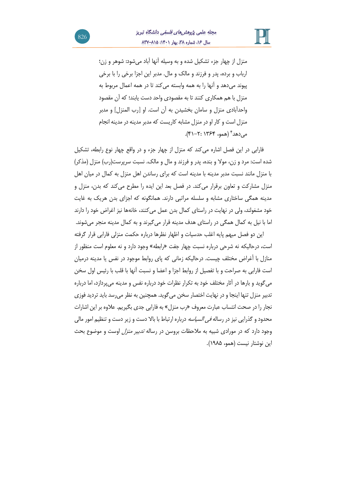

منزل از چهار جزء تشکیل شده و به وسیله آنها آباد میشود: شوهر و زن؛ ارباب و برده، پدر و فرزند و مالک و مال. مدبر این اجزا برخی را با برخی پیوند میدهد و آنها را به همه وابسته می کند تا در همه اعمال مربوط به منزل با هم همکاری کنند تا به مقصودی واحد دست یابند؛ که آن مقصود واحدآبادی منزل و سامان بخشیدن به آن است. او ]رب المنزل[ و مدبر منزل است و کار او در منزل مشابه کاریست که مدبر مدینه در مدینه انجام می(هد<sup>۴</sup> (همو، ۱۳۶۴ :۲-۴۱).

فارابی در این فصل اشاره میکند که منزل از چهار جزء و در واقع چهار نوع رابطه، تشکیل شده است: مرد و زن، مولا و بنده، پدر و فرزند و مال و مالک. نسبت سرپرست(رب) منزل (مذکر) با منزل مانند نسبت مدبر مدینه با مدینه است که برای رساندن اهل منزل به کمال در میان اهل منزل مشارکت و تعاون برقرار میکند. در فصل بعد این ایده را مطرح میکند که بدن، منزل و مدینه همگی ساختاری مشابه و سلسله مراتبی دارند. همانگونه که اجزای بدن هریک به غایت خود مشغولند، ولی در نهایت در راستای کمال بدن عمل میکنند، خانهها نیز اغراض خود را دارند اما با نیل به کمال همگی در راستای هدف مدینه قرار میگیرند و به کمال مدینه منجر می شوند.

این دو فصل مبهم پایه اغلب حدسیات و اظهار نظرها درباره حکمت منزلی فارابی قرار گرفته است، درحالیکه نه شرحی درباره نسبت چهار جفت »رابطه« وجود دارد و نه معلوم است منظور از منازل با أغراض مختلف چیست. درحالیکه زمانی که پای روابط موجود در نفس یا مدینه درمیان است فارابی به صراحت و با تفصیل از روابط اجزا و اعضا و نسبت آنها با قلب با رئیس اول سخن میگوید و بارها در آثار مختلف خود به تکرار نظرات خود درباره نفس و مدینه میپردازد، اما درباره تدبیر منزل تنها اینجا و در نهایت اختصار سخن میگوید. همچنین به نظر می رسد باید تردید فوزی نجار را در صحت انتساب عبارت معروف »رب منزل« به فارابی جدی بگیریم. عالوه بر این اشارات محدود و گذرایی نیز در رساله *فی السیاسه* درباره ارتباط با بالا دست و زیر دست و تنظیم امور مالی وجود دارد که در مورادی شبیه به مالحظات بروسن در رساله تدبیر منزل اوست و موضوع بحث این نوشتار نیست )همو، 1۹۸۵(.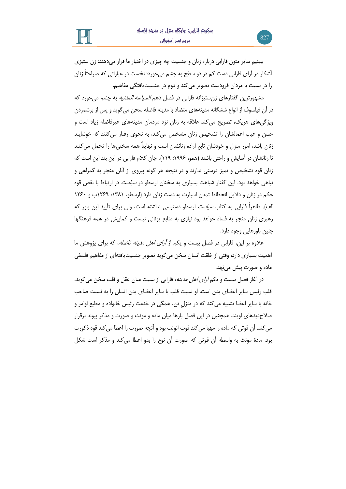ببینیم سایر متون فارابی درباره زنان و جنسیت چه چیزی در اختیار ما قرار میدهند: زن ستیزی آشکار در آرای فارابی دست کم در دو سطح به چشم می خورد؛ نخست در عباراتی که صراحتاً زنان را در نسبت با مردان فرودست تصویر میکند و دوم در جنسیتیافتگی مفاهیم.

مشهورترین گفتارهای زنستیزانه فارابی در فصل دهم *السیاسه المدنیه* به چشم میخورد که در آن فیلسوف از انواع ششگانه مدینههای متضاد با مدینه فاضله سخن میگوید و پس از برشمردن ویژگیهای هریک، تصریح میکند عالقه به زنان نزد مردمان مدینههای غیرفاضله زیاد است و حسن و عیب اعمالشان را تشخیص زنان مشخص میکند، به نحوی رفتار میکنند که خوشایند زنان باشد، امور منزل و خودشان تابع اراده زنانشان است و نهایتاً همه سختیها را تحمل میکنند تا زنانشان در آسایش و راحتی باشند (همو، ۱۹۹۶: ۱۱۹). جان کلام فارابی در این بند این است که زنان قوه تشخیص و تمیز درستی ندارند و در نتیجه هر گونه پیروی از آنان منجر به گمراهی و تباهی خواهد بود. این گفتار شباهت بسیاری به سخنان ارسطو در سیاست در ارتباط با نقص قوه حکم در زنان و دالیل انحطاط تمدن اسپارت به دست زنان دارد )ارسطو، :1۳۸1 1۲6۹ب و 1۲6۰ الف). ظاهراً فارابی به کتاب *سیاست* ارسطو دسترسی نداشته است، ولی برای تأیید این باور که رهبری زنان منجر به فساد خواهد بود نیازی به منابع یونانی نیست و کمابیش در همه فرهنگها چنین باورهایی وجود دارد.

عالوه بر این، فارابی در فصل بیست و یکم از آرای اهل مدینه فاضله، که برای پژوهش ما اهمیت بسیاری دارد، وقتی از خلقت انسان سخن می گوید تصویر جنسیتیافتهای از مفاهیم فلسفی ماده و صورت پیش مینهد.

در آغاز فصل بیست و یکم *آرای اهل مدینه*، فارابی از نسبت میان عقل و قلب سخن می گوید. قلب رئیس سایر اعضای بدن است. او نسبت قلب با سایر اعضای بدن انسان را به نسبت صاحب خانه با سایر اعضا تشبیه میکند که در منزلِ تن، همگی در خدمت رئیس خانواده و مطیع اوامر و صالحدیدهای اویند. همچنین در این فصل بارها میان ماده و مونث و صورت و مذکر پیوند برقرار میکند. آن قوتی که ماده را مهیا میکند قوت انوثت بود و آنچه صورت را اعطا میکند قوه ذکورت بود. مادۀ مونث به واسطه آن قوتی که صورت آن نوع را بدو اعطا میکند و مذکر است شکل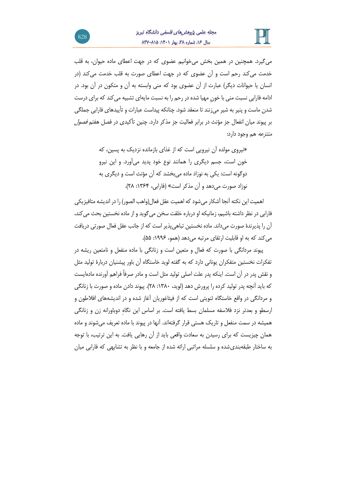

میگیرد. همچنین در همین بخش میخوانیم عضوی که در جهت اعطای ماده حیوان، به قلب خدمت میکند رحم است و آن عضوی که در جهت اعطای صورت به قلب خدمت می کند )در انسان یا حیوانات دیگر( عبارت از آن عضوی بود که منی وابسته به آن و متکون در آن بود. در ادامه فارابی نسبت منی با خون مهیا شده در رحم را به نسبت مایهای تشبیه می کند که برای درست شدن ماست و پنیر به شیر میزنند تا منعقد شود. چنانکه پیداست عبارات و تأییدهای فارابی جملگی بر پیوند میان انفعال جز مؤنث در برابر فعالیت جز مذکر دارد. چنین تأکیدی در فصل هفتم فصول منتزعه هم وجود دارد:

> »نیروی مولده آن نیرویی است که از غذای بازمانده نزدیک به پسین، که خون است، جسم دیگری را همانند نوع خود پدید می آورد. و این نیرو دوگونه است: یکی به نوزاد ماده میبخشد که آن مؤنث است و دیگری به نوزاد صورت میدهد و آن مذکر است« )فارابی، :1۳64 ۲۸(.

اهمیت این نکته آنجا آشکار میشود که اهمیت عقل فعال)واهب الصور( را در اندیشه متافیزیکی فارابی در نظر داشته باشیم، زمانیکه او درباره خلقت سخن میگوید و از ماده نخستین بحث میکند، آن را پذیرندۀ صورت میداند. ماده نخستین تباهیپذیر است که از جانب عقل فعال صورتی دریافت می کند که به او قابلیت ارتقای مرتبه می دهد (همو، ۱۹۹۶: ۵۵).

پیوند مردانگی با صورت که فعال و متعین است و زنانگی با ماده منفعل و نامتعین ریشه در تفکرات نخستین متفکران یونانی دارد که به گفته لوید خاستگاه آن باور پیشنیان دربارۀ تولید مثل و نقش پدر در آن است. اینکه پدر علت اصلی تولید مثل است و مادر صرفاً فراهم آورنده ماده ایست که باید آنچه پدر تولید کرده را پرورش دهد )لوید، :1۳۸۰ ۲۸(. پیوند دادن ماده و صورت با زنانگی و مردانگی در واقع خاستگاه ثنویتی است که از فیثاغوریان آغاز شده و در اندیشه های افالطون و ارسطو و بعدتر نزد فالسفه مسلمان بسط یافته است. بر اساس این نگاهِ دوباورانه زن و زنانگی همیشه در سمت منفعل و تاریک هستی قرار گرفته اند. آنها در پیوند با ماده تعریف می شوند و ماده همان چیزیست که برای رسیدن به سعادت واقعی باید از آن رهایی یافت. به این ترتیب، با توجه به ساختار طبقهبندیشده و سلسله مراتبی ارائه شده از جامعه و با نظر به تشابهی که فارابی میان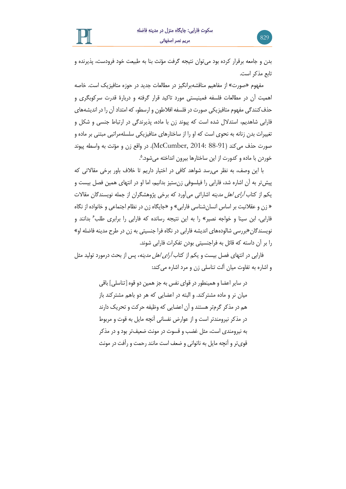بدن و جامعه برقرار کرده بود میتوان نتیجه گرفت مؤنث بنا به طبیعت خود فرودست، پذیرنده و تابع مذکر است.

مفهوم «صورت» از مفاهیم مناقشهبرانگیز در مطالعات جدید در حوزه متافیزیک است. خاصه اهمیت آن در مطالعات فلسفه فمینیستی مورد تاکید قرار گرفته و دربارۀ قدرت سرکوبگری و حذفکنندگی مفهوم متافیزیکی صورت در فلسفه افالطون و ارسطو، که امتداد آن را در اندیشه های فارابی شاهدیم، استدالل شده است که پیوند زن با ماده، پذیرندگی در ارتباط جنسی و شکل و تغییرات بدن زنانه به نحوی است که او را از ساختارهای متافیزیکی سلسلهمراتبی مبتنی بر ماده و صورت حذف میکند ) 88-91 2014: ,McCumber). در واقع زن و مؤنث به واسطه پیوند ۵ خوردن با ماده و کدورت از این ساختارها بیرون انداخته میشود. .

با این وصف، به نظر می رسد شواهد کافی در اختیار داریم تا خالف باور برخی مقاالتی که پیشتر به آن اشاره شد، فارابی را فیلسوفی زنستیز بدانیم، اما او در انتهای همین فصل بیست و یکم از کتا*ب آرای اهل مدینه* اشاراتی میآورد که برخی پژوهشگران از جمله نویسندگان مقالات » زن و عقالنیت بر اساس انسانشناسی فارابی« و »جایگاه زن در نظام اجتماعی و خانواده از نگاه فارابی، ابن سینا و خواجه نصیر» را به این نتیجه رسانده که فارابی را برابری طلب<sup>۶</sup> بدانند و نویسندگان»بررسی شالودههای اندیشه فارابی در نگاه فرا جنسیتی به زن در طرح مدینه فاضله او« را بر آن داسته که قائل به فراجنسیتی بودن تفکرات فارابی شوند.

فارابی در انتهای فصل بیست و یکم از کتاب آرای اهل مدینه، پس از بحث درمورد تولید مثل و اشاره به تفاوت میان آلت تناسلی زن و مرد اشاره میکند:

> در سایر اعضا و همینطور در قوای نفس به جز همین دو قوه ]تناسلی[ باقی میان نر و ماده مشترکند. و البته در اعضایی که هر دو باهم مشترکند باز هم در مذکر گرمتر هستند و آن اعضایی که وظیفه حرکت و تحریک دارند در مذکر نیرومندتر است و از عوارض نفسانی آنچه مایل به قوت و مربوط به نیرومندی است، مثل غضب و قسوت در مونث ضعیفتر بود و در مذکر قویتر و آنچه مایل به ناتوانی و ضعف است مانند رحمت و رأفت در مونث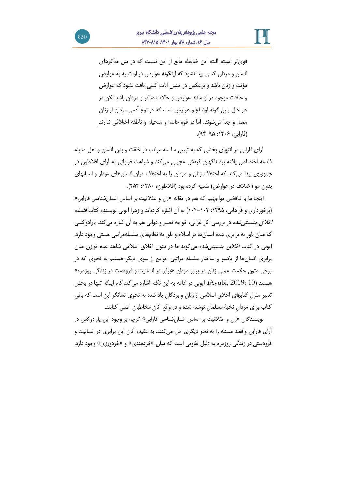

قویتر است، البته این ضابطه مانع از این نیست که در بین مذکرهای انسان و مردان کسی پیدا نشود که اینگونه عوارض در او شبیه به عوارض مؤنث و زنان باشد و برعکس در جنس اناث کسی یافت نشود که عوارض و حاالت موجود در او مانند عوارض و حاالت مذکر و مردان باشد لکن در هر حال باین گونه اوضاع و عوارض است که در نوع آدمی مردان از زنان ممتاز و جدا میشوند. اما در قوه حاسه و متخیله و ناطقه اختالفی ندارند )فارابی ، :14۰6 ۹4-۹۵(.

آرای فارابی در انتهای بخشی که به تبیین سلسله مراتب در خلقت و بدن انسان و اهل مدینه فاضله اختصاص یافته بود ناگهان گردش عجیبی میکند و شباهت فراوانی به آرای افالطون در ج*مهوری* پیدا می کند که اختلاف زنان و مردان را به اختلاف میان انسانهای مودار و انسانهای بدون مو )اختالف در عوارض( تشبیه کرده بود )افالطون، :1۳۸۰ 4۵4(.

اینجا ما با تناقضی مواجهیم که هم در مقاله »زن و عقالنیت بر اساس انسانشناسی فارابی« (برخورداری و فراهانی، ۱۳۹۵: ۱۰۳–۱۰۴) به آن اشاره کردهاند و زهرا ایوبی نویسنده کتاب *فلسفه اخلاق جنسیتی شده* در بررسی آثار غزالی، خواجه نصیر و دوانی هم به آن اشاره می *ک*ند. پارادوکسی که میان باور به برابری همه انسانها در اسالم و باور به نظامهای سلسلهمراتبی هستی وجود دارد. ایوبی در کتاب *اخلاق جنسیتی شد*ه می گوید ما در متون اخلاق اسلامی شاهد عدم توازن میان برابری انسان ها از یکسو و ساختار سلسله مراتبی جوامع از سوی دیگر هستیم به نحوی که در برخی متون حکمت عملی زنان در برابر مردان »برابر در انسانیت و فرودست در زندگی روزمره« هستند (10 :2019, Ayubi). ایوبی در ادامه به این نکته اشاره می کند که، اینکه تنها در بخش تدبیر منزلِ کتابهای اخالق اسالمی از زنان و بردگان یاد شده به نحوی نشانگر این است که باقیِ کتاب برای مردانِ نخبۀ مسلمان نوشته شده و در واقع آنان مخاطبان اصلی کتابند.

نویسندگان »زن و عقالنیت بر اساس انسانشناسی فارابی« گرچه بر وجود این پارادوکس در آرای فارابی واقفند مسئله را به نحو دیگری حل میکنند. به عقیده آنان این برابری در انسانیت و فرودستی در زندگی روزمره به دلیل تفاوتی است که میان »خردمندی« و »خردورزی« وجود دارد.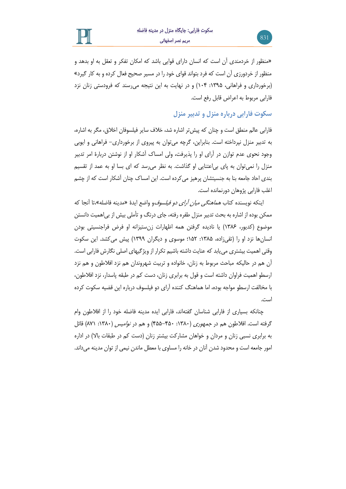

»منظور از خردمندی آن است که انسان دارای قوایی باشد که امکان تفکر و تعقل به او بدهد و منظور از خردورزی آن است که فرد بتواند قوای خود را در مسیر صحیح فعال کرده و به کار گیرد« (برخورداری و فراهانی، ۱۳۹۵: ۱۰۴) و در نهایت به این نتیجه می رسند که فرودستی زنان نزد فارابی مربوط به اعراض قابل رفع است.

**سکوت فارابی درباره منزل و تدبیر منزل**

فارابی عالم منطق است و چنان که پیش تر اشاره شد، خالف سایر فیلسوفان اخالق، مگر به اشاره، به تدبیر منزل نپرداخته است. بنابراین، گرچه می توان به پیروی از برخورداری- فراهانی و ایوبی وجود نحوی عدم توازن در آرای او را پذیرفت، ولی امساک آشکار او از نوشتن دربارۀ امر تدبیر منزل را نمیتوان به پای بی اعتنایی او گذاشت. به نظر می رسد که ای بسا او به عمد از تقسیم بندی احاد جامعه بنا به جنسیتشان پرهیز میکرده است. این امساک چنان آشکار است که از چشم اغلب فارابی پژوهان دورنمانده است.

اینکه نویسنده کتاب *هماهنگی میان آرای دو فیلسوف*و واضع ایدۀ «مدینه فاضله»،تا آنجا که ممکن بوده از اشاره به بحث تدبیر منزل طفره رفته، جای درنگ و تأملی بیش از بی|همیت دانستن موضوع )کدیور، 1۳۸6( یا نادیده گرفتن همه اظهارات زنستیزانه او فرض فراجنسیتی بودن انسانها نزد او را (تقی;اده، ۱۳۸۵: ۱۵۲؛ موسوی و دیگران ۱۳۹۹) پیش میکشد. این سکوت وقتی اهمیت بیشتری مییابد که عنایت داشته باشیم تکرار از ویژگیهای اصلی نگارش فارابی است . آن هم در حالیکه مباحث مربوط به زنان، خانواده و تربیت شهروندان هم نزد افالطون و هم نزد ارسطو اهمیت فراوان داشته است و قول به برابری زنان، دست کم در طبقه پاسدار، نزد افالطون، با مخالفت ارسطو مواجه بوده، اما هماهنگ کننده آرای دو فیلسوف درباره این قضیه سکوت کرده است.

چنانکه بسیاری از فارابی شناسان گفته اند، فارابی ایده مدینه فاضله خود را از افالطون وام گرفته است. افلاطون هم در *جمهوری* (۱۳۸۰: ۴۵۰–۴۵۵) و هم در *نوامیس* (۱۳۸۰: ۸۷۱) قائل به برابری نسبی زنان و مردان و خواهان مشارکت بیشتر زنان (دست کم در طبقات بالا) در اداره امور جامعه است و محدود شدن آنان در خانه را مساوی با معطل ماندن نیمی از توان مدینه میداند.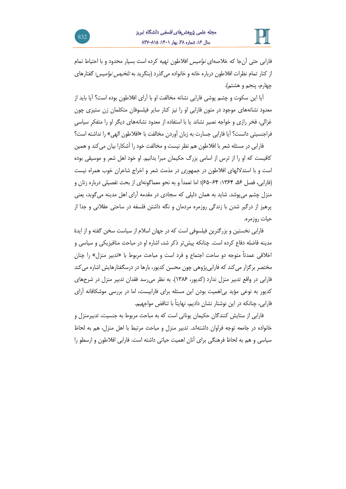

فارابی حتی آنجا که خالصهای نوامیس افالطون تهیه کرده است بسیار محدود و با احتیاط تمام از کنار تمام نظرات افلاطون درباره خانه و خانواده می گذرد (بنگرید به *تلخیص نوامیس*: گفتارهای چهارم، پنجم و هشتم(.

آیا این سکوت و چشم پوشی فارابی نشانه مخالفت او با آرای افالطون بوده است؟ آیا باید از معدود نشانههای موجود در متون فارابی او را نیز کنار سایر فیلسوفان متکلمان زن ستیزی چون غزالی، فخر رازی و خواجه نصیر نشاند یا با استفاده از معدود نشانه های دیگر او را متفکرِ سیاسیِ فراجنسیتی دانست؟ آیا فارابی جسارت به زبان آوردن مخالفت با »افالطون الهی« را نداشته است؟

فارابی در مسئله شعر با افالطون هم نظر نیست و مخالفت خود را آشکارا بیان میکند و همین کافیست که او را از ترس از اسامی بزرگ حکیمان مبرا بدانیم. او خود اهل شعر و موسیقی بوده است و با استداللهای افالطون در جمهوری در مذمت شعر و اخراج شاعران خوب همراه نیست )فارابی ، فصل ،۵6 :1۳64 -64 6۵( ؛ اما تعمداَ و به نحو معماگونه ای از بحث تفصیلی درباره زنان و منزل چشم می پوشد. شاید به همان دلیلی که سجادی در مقدمه آرای اهل مدینه می گوید، یعنی پرهیز از درگیر شدن با زندگی روزمره مردمان و نگه داشتن فلسفه در ساحتی عقالنی و جدا از حیات روزمره.

فارابی نخستین و بزرگترین فیلسوفی است که در جهان اسالم از سیاست سخن گفته و از ایدۀ مدینه فاضله دفاع کرده است. چنانکه پیشتر ذکر شد، اشاره او در مباحث متافیزیکی و سیاسی و اخالقی عمدتاً متوجه دو ساحت اجتماع و فرد است و مباحث مربوط با »تدبیر منزل« را چنان مختصر برگزار میکند که فارابیپژوهی چون محسن کدیور، بارها در درسگفتارهایش اشاره میکند فارابی در واقع تدبیر منزل ندارد ) کدیور، 1۳۸6(. به نظر میرسد فقدان تدبیر منزل در شرحهای کدیور به نوعی مؤید بیاهمیت بودن این مسئله برای فارابیست، اما در بررسی موشکافانه آرای فارابی، چنانکه در این نوشتار نشان دادیم، نهایتاً با تناقض مواجهیم.

فارابی از ستایش کنندگان حکیمان یونانی است که به مباحث مربوط به جنسیت، تدبیرمنزل و خانواده در جامعه توجه فراوان داشتهاند. تدبیر منزل و مباحث مرتبط با اهل منزل، هم به لحاظ سیاسی و هم به لحاظ فرهنگی برای آنان اهمیت حیاتی داشته است. فارابی افالطون و ارسطو را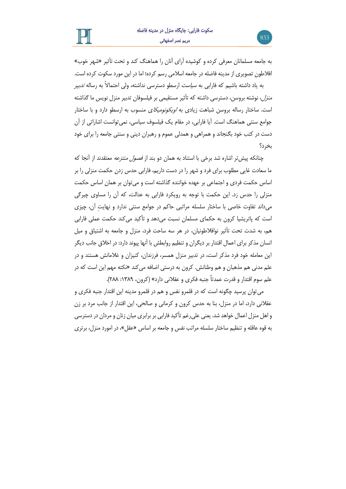به جامعه مسلمانان معرفی کرده و کوشیده آرای آنان را هماهنگ کند و تحت تأثیر »شهر خوب« افالطون تصویری از مدینه فاضله در جامعه اسالمی رسم کرده؛ اما در این مورد سکوت کرده است.

به یاد داشته باشیم که فارابی به *سیاست* ارسطو دسترسی نداشته، ولی احتمالاً به رساله *تدبیر* منزل، نوشته بروسن، دسترسی داشته که تأثیر مستقیمی بر فیلسوفان تدبیر منزل نویس ما گذاشته است. ساختار رساله بروسن شباهت زیادی به اویکونومیکای منسوب به ارسطو دارد و با ساختار جوامع سنتی هماهنگ است. آیا فارابی، در مقام یک فیلسوف سیاسی، نمیتوانست اشاراتی از آن دست در کتب خود بگنجاند و همراهی و همدلی عموم و رهبران دینی و سنتی جامعه را برای خود بخرد؟

چنانکه پیش تر اشاره شد برخی با استناد به همان دو بند از *فصول منتزعه* معتقدند از آنجا که ما سعادت غایی مطلوب برای فرد و شهر را در دست داریم، فارابی حدس زدن حکمت منزلی را بر اساس حکمت فردی و اجتماعی بر عهده خواننده گذاشته است و میتوان بر همان اساس حکمت منزلی را حدس زد. این حکمت با توجه به رویکرد فارابی به عدالت، که آن را مساوی چیرگی میداند تفاوت خاصی با ساختار سلسله مراتبی حاکم در جوامع سنتی ندارد و نهایتِ آن، چیزی است که پاتریشیا کرون به حکمای مسلمان نسبت میدهد و تأکید میکند حکمت عملی فارابی هم، به شدت تحت تأثیر نوافالطونیان، در هر سه ساحت فرد، منزل و جامعه به اشتیاق و میل انسان مذکر برای اعمال اقتدار بر دیگران و تنظیم روابطش با آنها پیوند دارد: در اخالق جانب دیگر این معامله خود فرد مذکر است، در تدبیر منزل همسر، فرزندان، کنیزان و غالمانش هستند و در علم مدنی هم مذهبان و هم وطنانش. کرون به درستی اضافه میکند »نکته مهم این است که در علم سوم اقتدار و قدرت عمدتاً جنبه فکری و عقالنی دارد« )کرون، :1۳۸۹ ۲۸۸(.

میتوان پرسید چگونه است که در قلمرو نفس و هم در قلمرو مدینه این اقتدار جنبه فکری و عقالنی دارد، اما در منزل، بنا به حدس کرون و کرمانی و صالحی، این اقتدار از جانب مرد بر زن و اهل منزل اعمال خواهد شد. یعنی علیرغم تأکید فارابی بر برابری میان زنان و مردان در دسترسی به قوه عاقله و تنظیم ساختار سلسله مراتب نفس و جامعه بر اساس »عقل«، در امورد منزل، برتری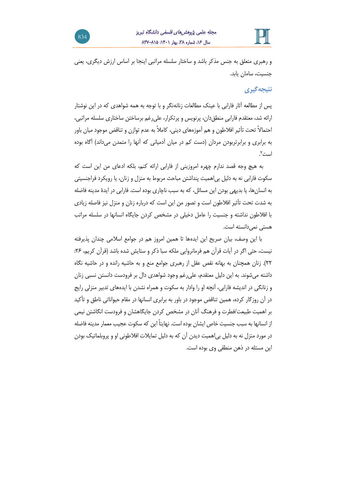

و رهبری متعلق به جنس مذکر باشد و ساختار سلسله مراتبی اینجا بر اساس ارزش دیگری، یعنی جنسیت، سامان یابد.

# **نتیجهگیری**

پس از مطالعه آثار فارابی با عینک مطالعات زنانهنگر و با توجه به همه شواهدی که در این نوشتار ارائه شد، معتقدم فارابیِ منطقدان، پرنویس و پرتکرار، علیرغم برساختن ساختاری سلسله مراتبی، احتماالً تحت تأثیر افالطون و هم آموزه های دینی، کامالً به عدم توازن و تناقض موجود میان باور به برابری و برابرتربودن مردان (دست کم در میان آدمیانی که آنها را متمدن میداند) آگاه بوده است<sup>۷</sup>.

به هیچ وجه قصد ندارم چهره امروزینی از فارابی ارائه کنم، بلکه ادعای من این است که سکوت فارابی نه به دلیل بیاهمیت پنداشتن مباحث مربوط به منزل و زنان، یا رویکرد فراجنسیتی به انسان ها، یا بدیهی بودن این مسائل، که به سبب ناچاری بوده است. فارابی در ایدۀ مدینه فاضله به شدت تحت تأثیر افالطون است و تصور من این است که درباره زنان و منزل نیز فاصله زیادی با افالطون نداشته و جنسیت را عامل دخیلی در مشخص کردن جایگاه انسانها در سلسله مراتب هستی نمی دانسته است.

با این وصف، بیان صریح این ایدهها تا همین امروز هم در جوامع اسالمی چندان پذیرفته نیست، حتی اگر در آیات قرآن هم فرمانروایی ملکه سبا ذکر و ستایش شده باشد )قرآن کریم، :۲6 ۲۲(. زنان همچنان به بهانه نقص عقل از رهبری جوامع منع و به حاشیه رانده و در حاشیه نگاه داشته میشوند. به این دلیل معتقدم، علیرغم وجود شواهدی دال بر فرودست دانستن نسبی زنان و زنانگی در اندیشه فارابی، آنچه او را وادار به سکوت و همراه نشدن با ایده های تدبیر منزلی رایج در آن روزگار کرده، همین تناقض موجود در باور به برابری انسانها در مقام حیواناتی ناطق و تأکید بر اهمیت طبیعت/فطرت و فرهنگ آنان در مشخص کردن جایگاهشان و فرودست انگاشتن نیمی از انسانها به سبب جنسیت خاص ایشان بوده است. نهایتاً این که سکوت عجیب معمار مدینه فاضله در مورد منزل نه به دلیل بیاهمیت دیدن آن که به دلیل تمایالت افالطونی او و پروبلماتیک بودن این مسئله در ذهن منطقی وی بوده است.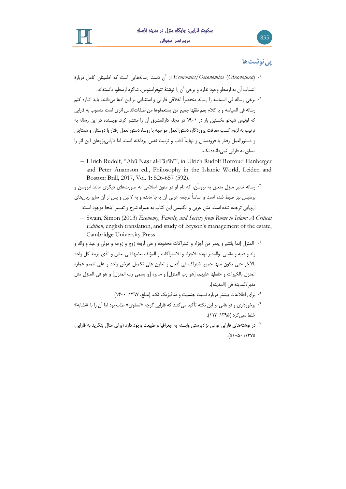

# **پینوشتها**

835

- (*Οἰκονομικά* (*Oeconomica/Economics* از آن دست رساله هایی است که اطمینان کامل دربارۀ .1 انتساب آن به ارسطو وجود ندارد و برخی آن را نوشتۀ تئوفراستوس، شاگرد ارسطو، دانسته اند.
- برخی رساله فی السیاسه را رساله منحصراً اخالقی فارابی و استثنایی بر این ادعا میدانند. باید اشاره کنم .2 رساله فی السیاسه و یا کالم یعم نفقها جمیع من یستعملوها من طبقات الناس اثری است منسوب به فاراب ی که لوئیس شیخو نخستین بار در 1۹۰1 در مجله دارالمشرق آن را منتشر کرد. نو یسنده در این رساله به ترتیب به لزوم کسب معرفت پروردگار، دستورالعمل مواجهه با روسا، دستورالعمل رفتار با دوستان و همتایان و دستورالعمل رفتار با فرودستان و نهایتاً آداب و تربیت نفس پرداخته است. اما فارابی پژوهان این اثر را متعلق به فارابی نمیدانند: نک.
	- − Ulrich Rudolf, "Abū Naṣr al-Fārābī", in Ulrich Rudolf Rotroud Hanberger and Peter Anamson ed., Philosophy in the Islamic World, Leiden and Boston: Brill, 2017, Vol. 1: 526-657 (592).

رساله تدبیر منزل متعلق به بروسُن، که نام او در متون اسالمی به صورت های دیگری مانند ابروسن و .3 برسیس نیز ضبط شده است و اساساً ترجمه عربی آن به جا مانده و به التین و پس از آن سایر زبان های اروپایی ترجمه شده است. متن عربی و انگلیسی این کتاب به همراه شرح و تفسیر اینجا موجود است:

- − Swain, Simon (2013) *Economy, Family, and Society from Rome to Islam: A Critical Edition*, english translation, and study of Bryson's management of the estate, Cambridge University Press.
- <sup>؛</sup> المنزل إنما یلتئم و یعمر من أجزاء و اشتراکات محدوده و هی أربعه زوج و زوجه و مولی و عبد و والد و ولد و قنیه و مقتنی. والمدبر لهذه الأجزاء و الاشتراکات و المؤلف بعضها إلی بعض و الذی یربط کل واحد بالآخر حتی یکون منها جمیع اشتراک فی أفعال و تعاون علی تکمیل غرض واحد و علی تتمیم عماره المنزل بالخیرات و حفظها علیهم، ]هو رب المنزل[ و مدبره ]و یسمی رب المنزل[ و هو فی المنزل مثل مدبر/المدینه فی ]المدینه[.
	- ۰. برای اطلاعات بیشتر درباره نسبت جنسیت و متافیزیک نک. (مبلغ، ۱۳۹۷؛ ۱۴۰۰)
- <sup>7.</sup> برخورداری و فراهانی بر این نکته تأکید میکنند که فارابی گرچه «تساوی» طلب بود اما آن را با «تشابه» خلط نمی کرد ):1۳۹۵ 11۳(.
- در نوشتههای فارابی نوعی نژادپرستی وابسته به جغرافیا و طبیعت وجود دارد (برای مثال بنگرید به فارابی، . . . . .)۵1-۵۰ :1۳۷۵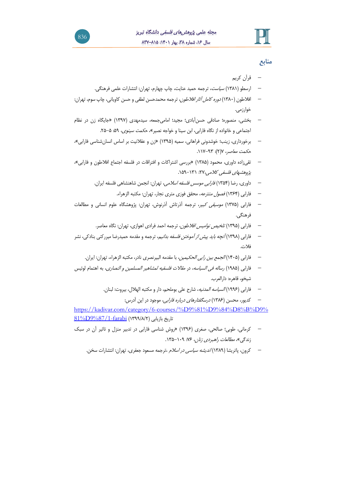

## **منابع**

- − قرآن کریم
- − ارسطو ) 1۳۸1( سیاست، ترجمه حمید عنایت، چاپ چهارم، تهران: انتشارات علمی فرهنگی.
- − افلاطون (۱۳۸۰) *دوره کامل آثار افلاطون*، ترجمه محمدحسن لطفی و حسن کاویانی، چاپ سوم، تهران: خوارزمی.
- − بخشی، منصوره؛ صادقی حسن آبادی؛ مجید؛ امامی جمعه، سیدمهدی )1۳۹۷( »جایگاه زن در نظام اجتماعی و خانواده از نگاه فارابی، ابن سینا و خواجه نصیر»، ح*کمت سینوی*، ۵۹: ۵-۲۵.
- − برخورداری، زینب؛ خوشدونی فراهانی، سمیه )1۳۹۵( »زن و عقالنیت بر اساس انسانشناسی فارابی«، حکمت معاصر، ۷)۲(: .11۷-۹۳
- − تقیزاده داوری، محمود ) 1۳۸۵( »بررسی اشتراکات و افتراقات در فلسفه اجتماع افالطون و فارابی«، پژوهشهای فلسفی کلامی،۲۷: ۱۳۱–۱۵۹.
	- − داوری، رضا (۱۳۵۴) *فارابی موسس فلسفه اسلامی*، تهران: انجمن شاهنشاهی فلسفه ایران.
		- − فارابی (۱۳۶۴) *فصول منتزعه*، محقق فوزی متری نجار، تهران: مکتبه الزهراء.
- − فارابی ) 1۳۷۵( موسیقی کبیر، ترجمه آذرتاش آذرنوش، تهران: پژوهشگاه علوم انسانی و مطالعات فرهنگی.
	- − فارابی (۱۳۹۵) *تلخیص نوامیس افلاطون*، ترجمه احمد فرادی اهوازی، تهران: نگاه معاصر.
- − فارابی )1۳۹۸( آنچه باید پیش از آموختن فلسفه بدانیم، ترجمه و مقدمه حمیدرضا میررکنی بنادکی، نشر فالت.
	- − فارابی ) 14۰۵( الجمع بین رایی الحکیمین، با مقدمه البیرنصری نادر، مکتبه الزهراء، تهران: ایران.
- − فارابی )1۹۸۵( رساله فی السیاسه، در مقاالت فلسفیه لمشاهیر المسلمین و النصاری، به اهتمام لوئیس شیخو، قاهره: دارالعرب.
	- − فارابی ) 1۹۹6( السیاسه المدنیه، شارح علی بوملحم، دار و مکتبه الهالل، بیروت: لبنان.
		- کدیور، محسن (۱۳۸۶) *درسگفتارهای درباره فارابی*، موجود در این آدرس:

[https://kadivar.com/category/6-courses/%D9%81%D9%84%D8%B%D9%](https://kadivar.com/category/6-courses/%D9%81%D9%84%D8%25B%D9%25%2081%D9%87/1-farabi) تاریخ بازیابی (۱۳۹۹/۸/۲) farabi (۱۳۹۹/۸/۲) 81%

- − کرمانی، طوبی؛ صالحی، صغری )1۳۹6( »روش شناسی فارابی در تدبیر منزل و تاثیر آن در سبک زندگی»، *مطالعات راهبردی زنان، ۷۶: ۱۰۹-۱۳۵*۰۹.
	- کرون، پاتریشا (۱۳۸۹) *اندیشه سیاسی در اسلام* ،ترجمه مسعود جعفری، تهران: انتشارات سخن.